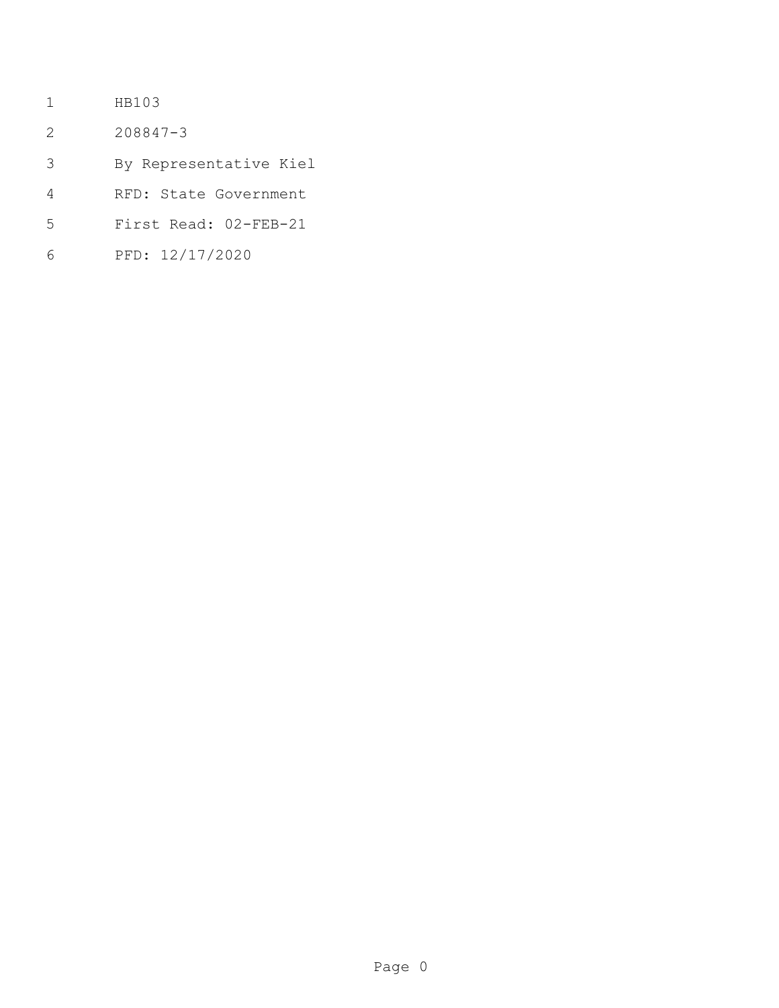- HB103
- 208847-3
- By Representative Kiel
- RFD: State Government
- First Read: 02-FEB-21
- PFD: 12/17/2020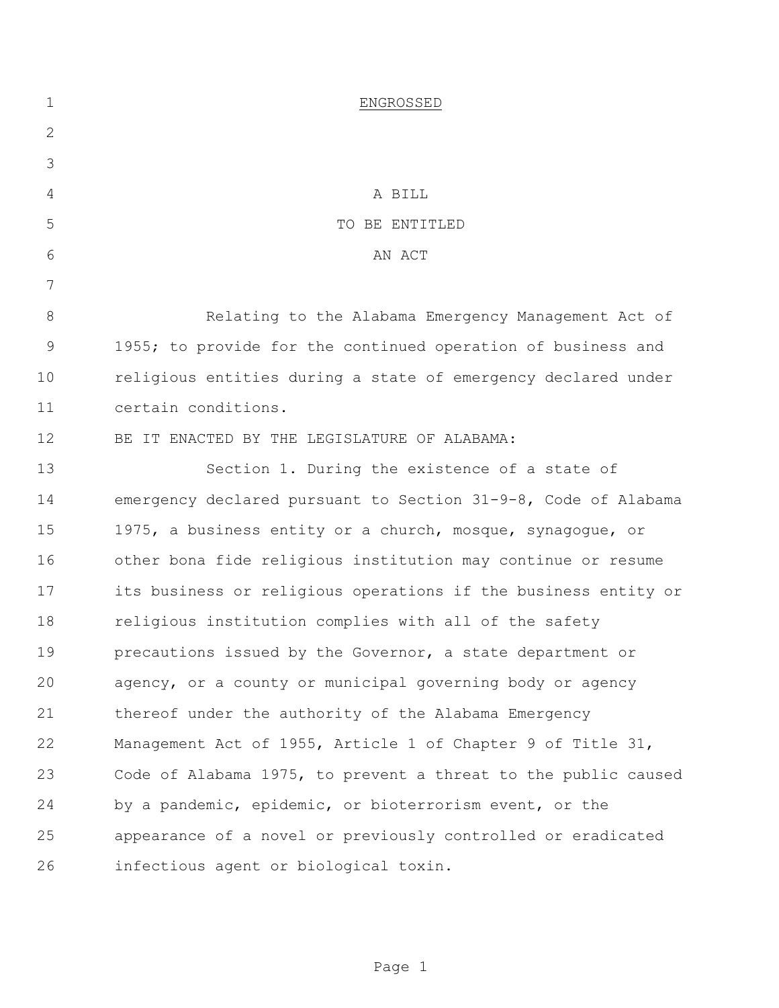| $\mathbf 1$    | ENGROSSED                                                      |
|----------------|----------------------------------------------------------------|
| $\overline{2}$ |                                                                |
| 3              |                                                                |
| 4              | A BILL                                                         |
| 5              | TO BE ENTITLED                                                 |
| 6              | AN ACT                                                         |
| 7              |                                                                |
| 8              | Relating to the Alabama Emergency Management Act of            |
| 9              | 1955; to provide for the continued operation of business and   |
| 10             | religious entities during a state of emergency declared under  |
| 11             | certain conditions.                                            |
| 12             | BE IT ENACTED BY THE LEGISLATURE OF ALABAMA:                   |
| 13             | Section 1. During the existence of a state of                  |
| 14             | emergency declared pursuant to Section 31-9-8, Code of Alabama |
| 15             | 1975, a business entity or a church, mosque, synagogue, or     |
| 16             | other bona fide religious institution may continue or resume   |
| 17             | its business or religious operations if the business entity or |
| 18             | religious institution complies with all of the safety          |
| 19             | precautions issued by the Governor, a state department or      |
| 20             | agency, or a county or municipal governing body or agency      |
| 21             | thereof under the authority of the Alabama Emergency           |
| 22             | Management Act of 1955, Article 1 of Chapter 9 of Title 31,    |
| 23             | Code of Alabama 1975, to prevent a threat to the public caused |
| 24             | by a pandemic, epidemic, or bioterrorism event, or the         |
| 25             | appearance of a novel or previously controlled or eradicated   |
| 26             | infectious agent or biological toxin.                          |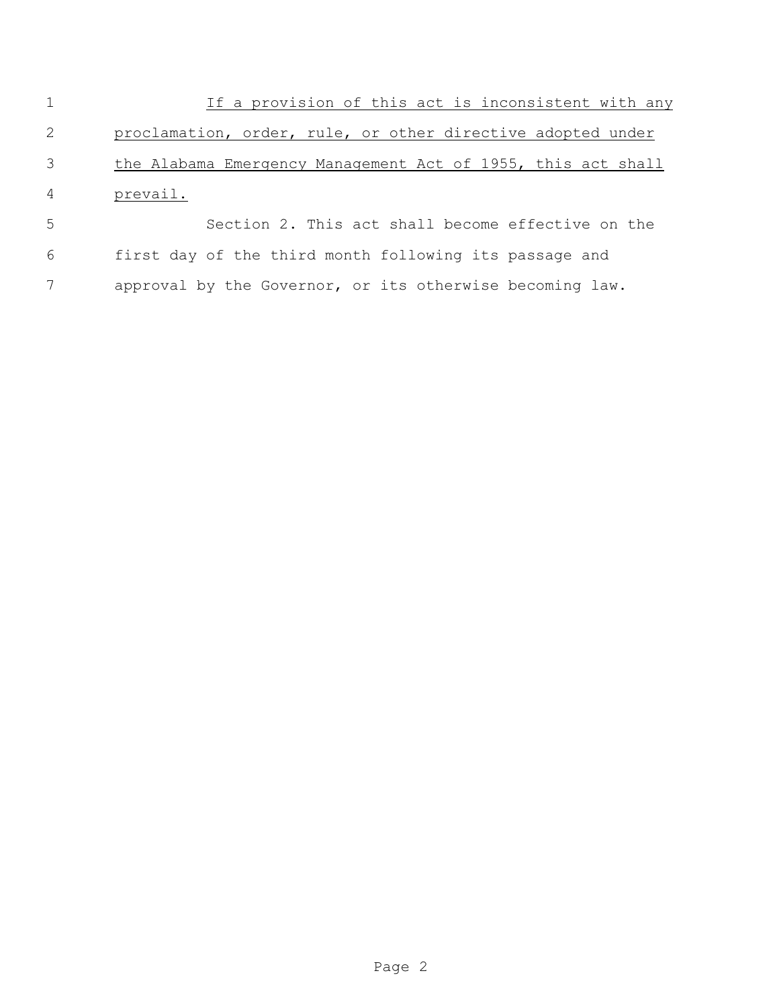1 If a provision of this act is inconsistent with any proclamation, order, rule, or other directive adopted under the Alabama Emergency Management Act of 1955, this act shall prevail.

 Section 2. This act shall become effective on the first day of the third month following its passage and approval by the Governor, or its otherwise becoming law.